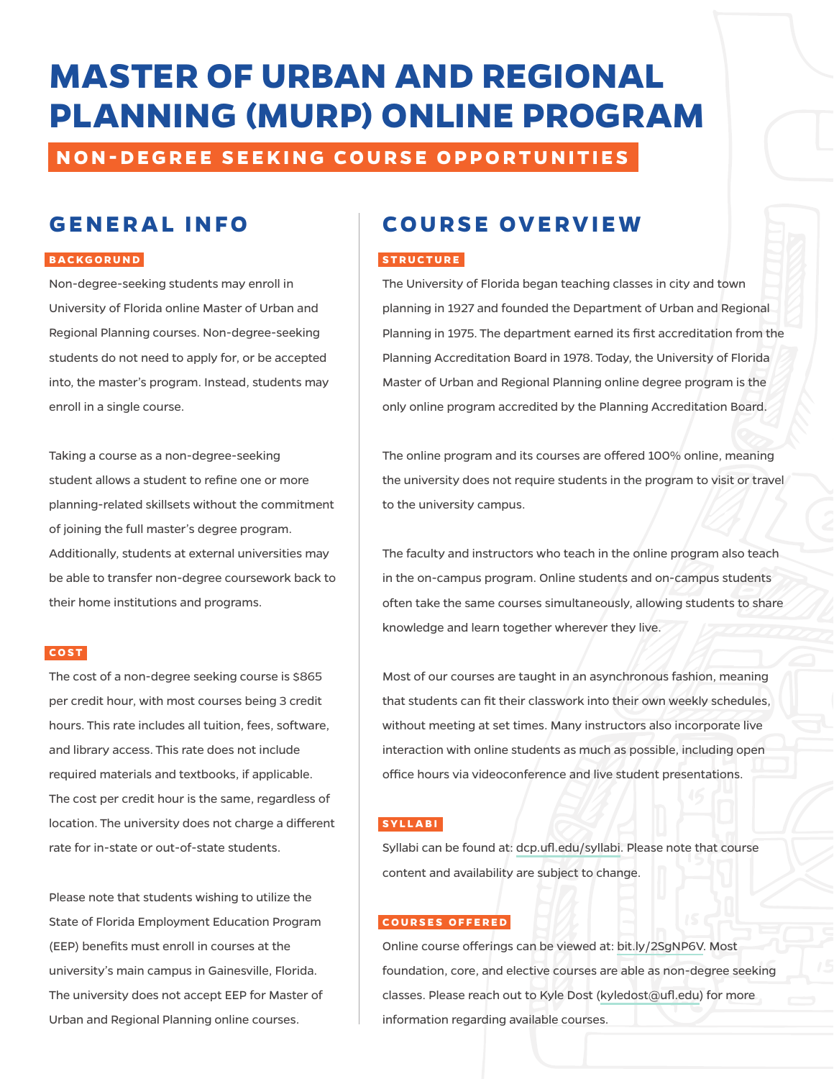# **MASTER OF URBAN AND REGIONAL PLANNING (MURP) ONLINE PROGRAM**

**NON-DEGREE SEEKING COURSE OPPORTUNITIES**

# **GENERAL INFO**

#### **BACKGORUND**

Non-degree-seeking students may enroll in University of Florida online Master of Urban and Regional Planning courses. Non-degree-seeking students do not need to apply for, or be accepted into, the master's program. Instead, students may enroll in a single course.

Taking a course as a non-degree-seeking student allows a student to refine one or more planning-related skillsets without the commitment of joining the full master's degree program. Additionally, students at external universities may be able to transfer non-degree coursework back to their home institutions and programs.

#### **COST**

The cost of a non-degree seeking course is \$865 per credit hour, with most courses being 3 credit hours. This rate includes all tuition, fees, software, and library access. This rate does not include required materials and textbooks, if applicable. The cost per credit hour is the same, regardless of location. The university does not charge a different rate for in-state or out-of-state students.

Please note that students wishing to utilize the State of Florida Employment Education Program (EEP) benefits must enroll in courses at the university's main campus in Gainesville, Florida. The university does not accept EEP for Master of Urban and Regional Planning online courses.

### **COURSE OVERVIEW**

#### **STRUCTURE**

The University of Florida began teaching classes in city and town planning in 1927 and founded the Department of Urban and Regional Planning in 1975. The department earned its first accreditation from the Planning Accreditation Board in 1978. Today, the University of Florida Master of Urban and Regional Planning online degree program is the only online program accredited by the Planning Accreditation Board.

The online program and its courses are offered 100% online, meaning the university does not require students in the program to visit or travel to the university campus.

The faculty and instructors who teach in the online program also teach in the on-campus program. Online students and on-campus students often take the same courses simultaneously, allowing students to share knowledge and learn together wherever they live.

Most of our courses are taught in an asynchronous fashion, meaning that students can fit their classwork into their own weekly schedules, without meeting at set times. Many instructors also incorporate live interaction with online students as much as possible, including open office hours via videoconference and live student presentations.

#### **SYLLABI**

Syllabi can be found at: [dcp.ufl.edu/syllabi.](http://dcp.ufl.edu/syllabi) Please note that course content and availability are subject to change.

#### **COURSES OFFERED**

Online course offerings can be viewed at: [bit.ly/2SgNP6V](http://bit.ly/2SgNP6V). Most foundation, core, and elective courses are able as non-degree seeking classes. Please reach out to Kyle Dost ([kyledost@ufl.edu\)](mailto:kyledost%40ufl.edu?subject=) for more information regarding available courses.